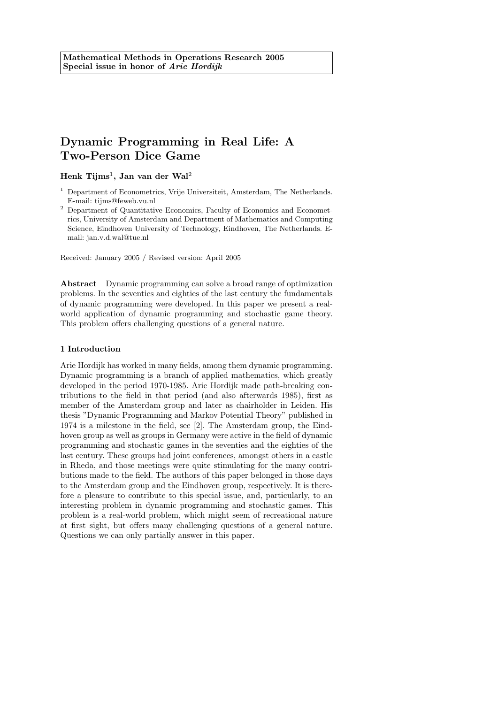# Dynamic Programming in Real Life: A Two-Person Dice Game

Henk  $\mathrm{Tijms}^1$ , Jan van der Wal $^2$ 

- <sup>1</sup> Department of Econometrics, Vrije Universiteit, Amsterdam, The Netherlands. E-mail: tijms@feweb.vu.nl
- <sup>2</sup> Department of Quantitative Economics, Faculty of Economics and Econometrics, University of Amsterdam and Department of Mathematics and Computing Science, Eindhoven University of Technology, Eindhoven, The Netherlands. Email: jan.v.d.wal@tue.nl

Received: January 2005 / Revised version: April 2005

Abstract Dynamic programming can solve a broad range of optimization problems. In the seventies and eighties of the last century the fundamentals of dynamic programming were developed. In this paper we present a realworld application of dynamic programming and stochastic game theory. This problem offers challenging questions of a general nature.

## 1 Introduction

Arie Hordijk has worked in many fields, among them dynamic programming. Dynamic programming is a branch of applied mathematics, which greatly developed in the period 1970-1985. Arie Hordijk made path-breaking contributions to the field in that period (and also afterwards 1985), first as member of the Amsterdam group and later as chairholder in Leiden. His thesis "Dynamic Programming and Markov Potential Theory" published in 1974 is a milestone in the field, see [2]. The Amsterdam group, the Eindhoven group as well as groups in Germany were active in the field of dynamic programming and stochastic games in the seventies and the eighties of the last century. These groups had joint conferences, amongst others in a castle in Rheda, and those meetings were quite stimulating for the many contributions made to the field. The authors of this paper belonged in those days to the Amsterdam group and the Eindhoven group, respectively. It is therefore a pleasure to contribute to this special issue, and, particularly, to an interesting problem in dynamic programming and stochastic games. This problem is a real-world problem, which might seem of recreational nature at first sight, but offers many challenging questions of a general nature. Questions we can only partially answer in this paper.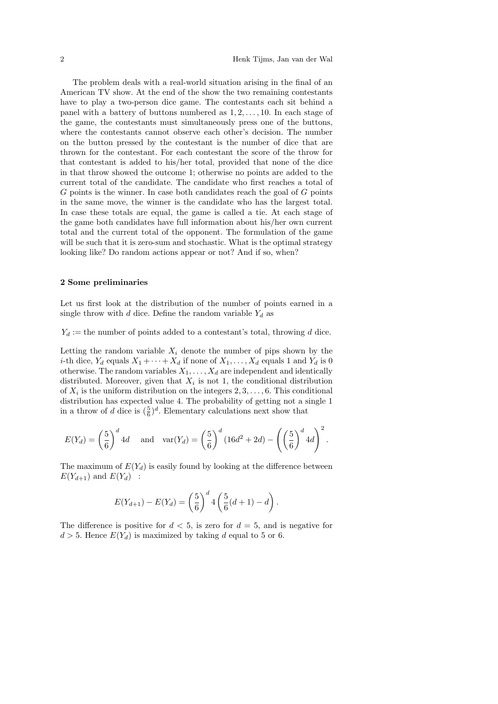The problem deals with a real-world situation arising in the final of an American TV show. At the end of the show the two remaining contestants have to play a two-person dice game. The contestants each sit behind a panel with a battery of buttons numbered as  $1, 2, \ldots, 10$ . In each stage of the game, the contestants must simultaneously press one of the buttons, where the contestants cannot observe each other's decision. The number on the button pressed by the contestant is the number of dice that are thrown for the contestant. For each contestant the score of the throw for that contestant is added to his/her total, provided that none of the dice in that throw showed the outcome 1; otherwise no points are added to the current total of the candidate. The candidate who first reaches a total of  $G$  points is the winner. In case both candidates reach the goal of  $G$  points in the same move, the winner is the candidate who has the largest total. In case these totals are equal, the game is called a tie. At each stage of the game both candidates have full information about his/her own current total and the current total of the opponent. The formulation of the game will be such that it is zero-sum and stochastic. What is the optimal strategy looking like? Do random actions appear or not? And if so, when?

## 2 Some preliminaries

Let us first look at the distribution of the number of points earned in a single throw with d dice. Define the random variable  $Y_d$  as

 $Y_d :=$  the number of points added to a contestant's total, throwing d dice.

Letting the random variable  $X_i$  denote the number of pips shown by the *i*-th dice,  $Y_d$  equals  $X_1 + \cdots + X_d$  if none of  $X_1, \ldots, X_d$  equals 1 and  $Y_d$  is 0 otherwise. The random variables  $X_1, \ldots, X_d$  are independent and identically distributed. Moreover, given that  $X_i$  is not 1, the conditional distribution of  $X_i$  is the uniform distribution on the integers  $2, 3, \ldots, 6$ . This conditional distribution has expected value 4. The probability of getting not a single 1 in a throw of d dice is  $(\frac{5}{6})^d$ . Elementary calculations next show that

$$
E(Y_d) = \left(\frac{5}{6}\right)^d 4d \quad \text{and} \quad \text{var}(Y_d) = \left(\frac{5}{6}\right)^d (16d^2 + 2d) - \left(\left(\frac{5}{6}\right)^d 4d\right)^2.
$$

The maximum of  $E(Y_d)$  is easily found by looking at the difference between  $E(Y_{d+1})$  and  $E(Y_d)$  :

$$
E(Y_{d+1}) - E(Y_d) = \left(\frac{5}{6}\right)^d 4\left(\frac{5}{6}(d+1) - d\right).
$$

The difference is positive for  $d < 5$ , is zero for  $d = 5$ , and is negative for  $d > 5$ . Hence  $E(Y_d)$  is maximized by taking d equal to 5 or 6.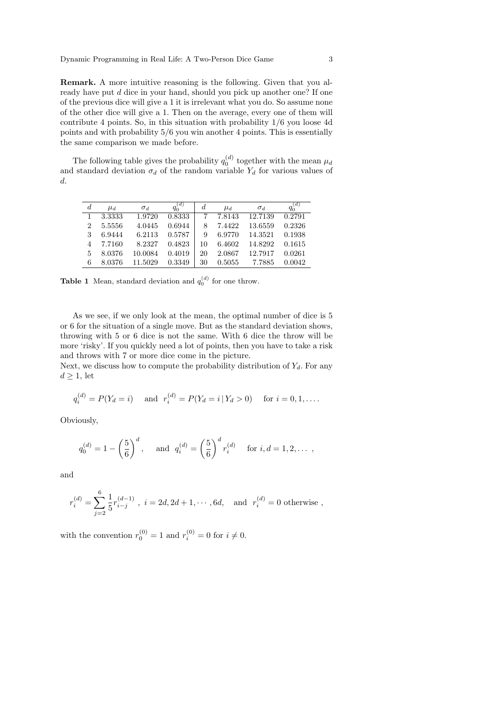Remark. A more intuitive reasoning is the following. Given that you already have put d dice in your hand, should you pick up another one? If one of the previous dice will give a 1 it is irrelevant what you do. So assume none of the other dice will give a 1. Then on the average, every one of them will contribute 4 points. So, in this situation with probability 1/6 you loose 4d points and with probability 5/6 you win another 4 points. This is essentially the same comparison we made before.

The following table gives the probability  $q_0^{(d)}$  together with the mean  $\mu_d$ and standard deviation  $\sigma_d$  of the random variable  $Y_d$  for various values of d.

| $\boldsymbol{d}$ | $\mu_d$ | $\sigma_d$ | $q_0^{(d)}$ | d  | $\mu_d$ | $\sigma_d$ | $q_0^{(d)}$ |
|------------------|---------|------------|-------------|----|---------|------------|-------------|
| 1                | 3.3333  | 1.9720     | 0.8333      |    | 7.8143  | 12.7139    | 0.2791      |
| $\overline{2}$   | 5.5556  | 4.0445     | 0.6944      | 8  | 7.4422  | 13.6559    | 0.2326      |
| 3                | 6.9444  | 6.2113     | 0.5787      | 9  | 6.9770  | 14.3521    | 0.1938      |
|                  | 7.7160  | 8.2327     | 0.4823      | 10 | 6.4602  | 14.8292    | 0.1615      |
| 5                | 8.0376  | 10.0084    | 0.4019      | 20 | 2.0867  | 12.7917    | 0.0261      |
| 6                | 8.0376  | 11.5029    | 0.3349      | 30 | 0.5055  | 7.7885     | 0.0042      |

**Table 1** Mean, standard deviation and  $q_0^{(d)}$  for one throw.

As we see, if we only look at the mean, the optimal number of dice is 5 or 6 for the situation of a single move. But as the standard deviation shows, throwing with 5 or 6 dice is not the same. With 6 dice the throw will be more 'risky'. If you quickly need a lot of points, then you have to take a risk and throws with 7 or more dice come in the picture.

Next, we discuss how to compute the probability distribution of  $Y_d$ . For any  $d \geq 1$ , let

$$
q_i^{(d)} = P(Y_d = i)
$$
 and  $r_i^{(d)} = P(Y_d = i | Y_d > 0)$  for  $i = 0, 1, ...$ 

Obviously,

$$
q_0^{(d)} = 1 - \left(\frac{5}{6}\right)^d
$$
, and  $q_i^{(d)} = \left(\frac{5}{6}\right)^d r_i^{(d)}$  for  $i, d = 1, 2, ...$ ,

and

$$
r_i^{(d)} = \sum_{j=2}^{6} \frac{1}{5} r_{i-j}^{(d-1)}
$$
,  $i = 2d, 2d + 1, \dots, 6d$ , and  $r_i^{(d)} = 0$  otherwise,

with the convention  $r_0^{(0)} = 1$  and  $r_i^{(0)} = 0$  for  $i \neq 0$ .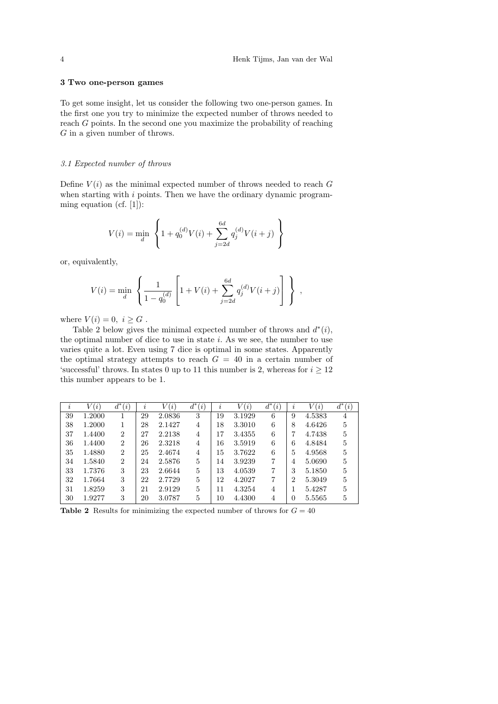## 3 Two one-person games

To get some insight, let us consider the following two one-person games. In the first one you try to minimize the expected number of throws needed to reach G points. In the second one you maximize the probability of reaching G in a given number of throws.

## 3.1 Expected number of throws

Define  $V(i)$  as the minimal expected number of throws needed to reach G when starting with  $i$  points. Then we have the ordinary dynamic programming equation (cf. [1]):

$$
V(i) = \min_{d} \left\{ 1 + q_0^{(d)} V(i) + \sum_{j=2d}^{6d} q_j^{(d)} V(i+j) \right\}
$$

or, equivalently,

$$
V(i) = \min_{d} \left\{ \frac{1}{1 - q_0^{(d)}} \left[ 1 + V(i) + \sum_{j=2d}^{6d} q_j^{(d)} V(i+j) \right] \right\},
$$

where  $V(i) = 0, i \geq G$ .

Table 2 below gives the minimal expected number of throws and  $d^*(i)$ , the optimal number of dice to use in state  $i$ . As we see, the number to use varies quite a lot. Even using 7 dice is optimal in some states. Apparently the optimal strategy attempts to reach  $G = 40$  in a certain number of 'successful' throws. In states 0 up to 11 this number is 2, whereas for  $i \geq 12$ this number appears to be 1.

| $\overline{\imath}$ | V(i)   | $d^*$<br>(i)   | $\boldsymbol{\eta}$ | (i)<br>V | $d^*$<br>(i) | İ, | V(i)   | $d^*$<br>(i) | $\boldsymbol{\eta}$ | V(i)   | $d^*$<br>(i) |
|---------------------|--------|----------------|---------------------|----------|--------------|----|--------|--------------|---------------------|--------|--------------|
| 39                  | 1.2000 |                | 29                  | 2.0836   | 3            | 19 | 3.1929 | 6            | 9                   | 4.5383 | 4            |
| 38                  | 1.2000 |                | 28                  | 2.1427   | 4            | 18 | 3.3010 | 6            | 8                   | 4.6426 | 5            |
| 37                  | 1.4400 | $\overline{2}$ | 27                  | 2.2138   | 4            | 17 | 3.4355 | 6            | 7                   | 4.7438 | 5            |
| 36                  | 1.4400 | $\overline{2}$ | 26                  | 2.3218   | 4            | 16 | 3.5919 | 6            | 6                   | 4.8484 | 5            |
| 35                  | 1.4880 | $\overline{2}$ | 25                  | 2.4674   | 4            | 15 | 3.7622 | 6            | 5                   | 4.9568 | 5            |
| 34                  | 1.5840 | $\overline{2}$ | 24                  | 2.5876   | 5            | 14 | 3.9239 | 7            | 4                   | 5.0690 | 5            |
| 33                  | 1.7376 | 3              | 23                  | 2.6644   | 5            | 13 | 4.0539 | 7            | 3                   | 5.1850 | 5            |
| 32                  | 1.7664 | 3              | 22                  | 2.7729   | 5            | 12 | 4.2027 | 7            | $\overline{2}$      | 5.3049 | 5            |
| 31                  | 1.8259 | 3              | 21                  | 2.9129   | 5            | 11 | 4.3254 | 4            |                     | 5.4287 | 5            |
| 30                  | 1.9277 | 3              | 20                  | 3.0787   | 5            | 10 | 4.4300 | 4            | 0                   | 5.5565 | 5            |

**Table 2** Results for minimizing the expected number of throws for  $G = 40$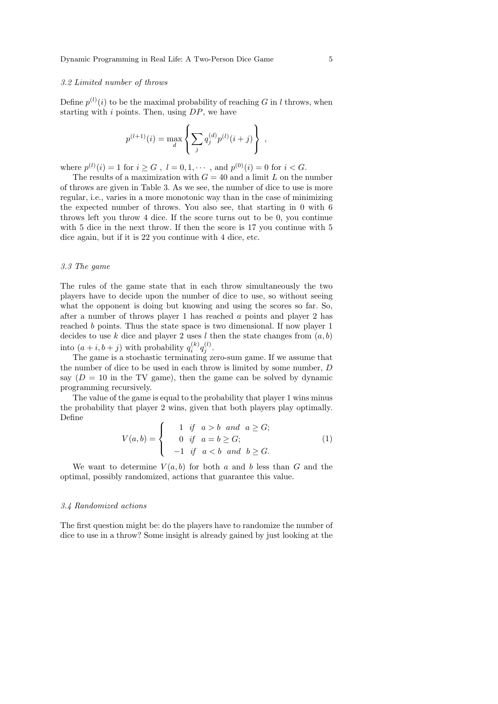## 3.2 Limited number of throws

Define  $p^{(l)}(i)$  to be the maximal probability of reaching G in l throws, when starting with  $i$  points. Then, using  $DP$ , we have

$$
p^{(l+1)}(i) = \max_{d} \left\{ \sum_{j} q_j^{(d)} p^{(l)}(i+j) \right\} ,
$$

where  $p^{(l)}(i) = 1$  for  $i \ge G$ ,  $l = 0, 1, \dots$ , and  $p^{(0)}(i) = 0$  for  $i < G$ .

The results of a maximization with  $G = 40$  and a limit L on the number of throws are given in Table 3. As we see, the number of dice to use is more regular, i.e., varies in a more monotonic way than in the case of minimizing the expected number of throws. You also see, that starting in 0 with 6 throws left you throw 4 dice. If the score turns out to be 0, you continue with 5 dice in the next throw. If then the score is 17 you continue with 5 dice again, but if it is 22 you continue with 4 dice, etc.

#### 3.3 The game

The rules of the game state that in each throw simultaneously the two players have to decide upon the number of dice to use, so without seeing what the opponent is doing but knowing and using the scores so far. So, after a number of throws player 1 has reached a points and player 2 has reached b points. Thus the state space is two dimensional. If now player 1 decides to use k dice and player 2 uses l then the state changes from  $(a, b)$ into  $(a+i, b+j)$  with probability  $q_i^{(k)}q_j^{(l)}$ .

The game is a stochastic terminating zero-sum game. If we assume that the number of dice to be used in each throw is limited by some number, D say  $(D = 10$  in the TV game), then the game can be solved by dynamic programming recursively.

The value of the game is equal to the probability that player 1 wins minus the probability that player 2 wins, given that both players play optimally. Define

$$
V(a,b) = \begin{cases} 1 & \text{if } a > b \text{ and } a \ge G; \\ 0 & \text{if } a = b \ge G; \\ -1 & \text{if } a < b \text{ and } b \ge G. \end{cases}
$$
 (1)

We want to determine  $V(a, b)$  for both a and b less than G and the optimal, possibly randomized, actions that guarantee this value.

#### 3.4 Randomized actions

The first question might be: do the players have to randomize the number of dice to use in a throw? Some insight is already gained by just looking at the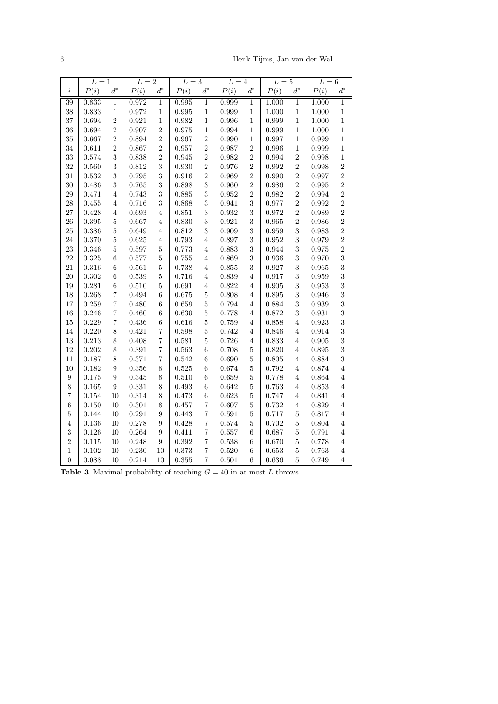6 Henk Tijms, Jan van der Wal

|                  | $L=1$ |                  | $\overline{L=2}$ |                  | $\overline{L=3}$ |                          | $L=4$ |                  | $L=5$ |                | $\overline{L=6}$ |                |
|------------------|-------|------------------|------------------|------------------|------------------|--------------------------|-------|------------------|-------|----------------|------------------|----------------|
| i                | P(i)  | $d^*$            | P(i)             | $d^\ast$         | P(i)             | $d^*$                    | P(i)  | $d^*$            | P(i)  | $d^*$          | P(i)             | $d^*$          |
| $\overline{39}$  | 0.833 | $\overline{1}$   | 0.972            | $\overline{1}$   | 0.995            | $\overline{1}$           | 0.999 | $\overline{1}$   | 1.000 | $\overline{1}$ | 1.000            | $\overline{1}$ |
| 38               | 0.833 | $\mathbf{1}$     | 0.972            | $\,1$            | 0.995            | $\mathbf 1$              | 0.999 | $\mathbf{1}$     | 1.000 | $\,1$          | 1.000            | $\mathbf{1}$   |
| 37               | 0.694 | $\overline{2}$   | 0.921            | $\,1\,$          | 0.982            | $\,1\,$                  | 0.996 | $\mathbf{1}$     | 0.999 | $\,1\,$        | 1.000            | $\mathbf{1}$   |
| 36               | 0.694 | $\overline{2}$   | 0.907            | $\overline{2}$   | 0.975            | $\mathbf{1}$             | 0.994 | $\mathbf{1}$     | 0.999 | $\,1\,$        | 1.000            | $\mathbf{1}$   |
| 35               | 0.667 | $\overline{2}$   | 0.894            | $\overline{2}$   | 0.967            | $\overline{2}$           | 0.990 | $\mathbf{1}$     | 0.997 | $\mathbf{1}$   | 0.999            | $\mathbf{1}$   |
| 34               | 0.611 | $\overline{2}$   | 0.867            | $\overline{2}$   | 0.957            | $\overline{2}$           | 0.987 | $\overline{2}$   | 0.996 | $\,1\,$        | 0.999            | $\mathbf{1}$   |
| 33               | 0.574 | 3                | 0.838            | $\overline{2}$   | 0.945            | $\overline{2}$           | 0.982 | $\overline{2}$   | 0.994 | $\overline{2}$ | 0.998            | $\mathbf{1}$   |
| 32               | 0.560 | 3                | 0.812            | 3                | 0.930            | $\overline{2}$           | 0.976 | $\overline{2}$   | 0.992 | $\overline{2}$ | 0.998            | $\overline{2}$ |
| 31               | 0.532 | 3                | 0.795            | 3                | 0.916            | $\overline{2}$           | 0.969 | $\overline{2}$   | 0.990 | $\overline{2}$ | 0.997            | $\overline{2}$ |
| 30               | 0.486 | 3                | 0.765            | 3                | 0.898            | 3                        | 0.960 | $\overline{2}$   | 0.986 | $\overline{2}$ | 0.995            | $\overline{2}$ |
| $\,29$           | 0.471 | 4                | 0.743            | 3                | 0.885            | 3                        | 0.952 | $\overline{2}$   | 0.982 | $\overline{2}$ | 0.994            | $\overline{2}$ |
| 28               | 0.455 | $\,4\,$          | 0.716            | 3                | 0.868            | 3                        | 0.941 | 3                | 0.977 | $\overline{2}$ | 0.992            | $\overline{2}$ |
| 27               | 0.428 | $\overline{4}$   | 0.693            | $\overline{4}$   | 0.851            | 3                        | 0.932 | 3                | 0.972 | $\overline{2}$ | 0.989            | $\overline{2}$ |
| 26               | 0.395 | $\overline{5}$   | 0.667            | $\overline{4}$   | 0.830            | 3                        | 0.921 | 3                | 0.965 | $\overline{2}$ | 0.986            | $\overline{2}$ |
| 25               | 0.386 | $\overline{5}$   | 0.649            | $\overline{4}$   | 0.812            | 3                        | 0.909 | 3                | 0.959 | 3              | 0.983            | $\overline{2}$ |
| 24               | 0.370 | $\overline{5}$   | 0.625            | $\overline{4}$   | 0.793            | $\overline{4}$           | 0.897 | 3                | 0.952 | 3              | 0.979            | $\overline{2}$ |
| 23               | 0.346 | $\overline{5}$   | 0.597            | $\overline{5}$   | 0.773            | $\,4\,$                  | 0.883 | 3                | 0.944 | 3              | 0.975            | $\overline{2}$ |
| 22               | 0.325 | 6                | 0.577            | $\overline{5}$   | 0.755            | $\overline{4}$           | 0.869 | 3                | 0.936 | 3              | 0.970            | 3              |
| 21               | 0.316 | $\boldsymbol{6}$ | 0.561            | $\overline{5}$   | 0.738            | $\,4\,$                  | 0.855 | 3                | 0.927 | 3              | 0.965            | 3              |
| 20               | 0.302 | $\boldsymbol{6}$ | 0.539            | $\overline{5}$   | 0.716            | $\,4\,$                  | 0.839 | $\overline{4}$   | 0.917 | 3              | 0.959            | 3              |
| 19               | 0.281 | $\boldsymbol{6}$ | 0.510            | $\overline{5}$   | 0.691            | $\overline{4}$           | 0.822 | $\,4\,$          | 0.905 | 3              | 0.953            | 3              |
| 18               | 0.268 | $\overline{7}$   | 0.494            | 6                | 0.675            | $\overline{5}$           | 0.808 | 4                | 0.895 | 3              | 0.946            | 3              |
| 17               | 0.259 | $\overline{7}$   | 0.480            | $\boldsymbol{6}$ | 0.659            | $\overline{5}$           | 0.794 | $\,4\,$          | 0.884 | 3              | 0.939            | 3              |
| 16               | 0.246 | $\overline{7}$   | 0.460            | $\,6$            | 0.639            | $\overline{5}$           | 0.778 | $\,4\,$          | 0.872 | 3              | 0.931            | 3              |
| 15               | 0.229 | $\overline{7}$   | 0.436            | $\boldsymbol{6}$ | 0.616            | $\overline{5}$           | 0.759 | $\overline{4}$   | 0.858 | $\overline{4}$ | 0.923            | 3              |
| 14               | 0.220 | 8                | 0.421            | $\overline{7}$   | 0.598            | $\bf 5$                  | 0.742 | $\overline{4}$   | 0.846 | $\overline{4}$ | 0.914            | 3              |
| $13\,$           | 0.213 | 8                | 0.408            | $\overline{7}$   | 0.581            | $\overline{5}$           | 0.726 | 4                | 0.833 | $\,4\,$        | 0.905            | 3              |
| 12               | 0.202 | 8                | 0.391            | $\overline{7}$   | 0.563            | $\overline{6}$           | 0.708 | $\overline{5}$   | 0.820 | $\overline{4}$ | 0.895            | 3              |
| 11               | 0.187 | 8                | 0.371            | $\overline{7}$   | 0.542            | $\boldsymbol{6}$         | 0.690 | $\overline{5}$   | 0.805 | $\overline{4}$ | 0.884            | 3              |
| 10               | 0.182 | 9                | 0.356            | 8                | 0.525            | 6                        | 0.674 | $\overline{5}$   | 0.792 | $\overline{4}$ | 0.874            | $\overline{4}$ |
| $\boldsymbol{9}$ | 0.175 | $\overline{9}$   | 0.345            | 8                | 0.510            | $\boldsymbol{6}$         | 0.659 | $\overline{5}$   | 0.778 | $\,4\,$        | 0.864            | $\overline{4}$ |
| 8                | 0.165 | $\overline{9}$   | 0.331            | 8                | 0.493            | $\boldsymbol{6}$         | 0.642 | $\overline{5}$   | 0.763 | $\overline{4}$ | 0.853            | $\overline{4}$ |
| 7                | 0.154 | 10               | 0.314            | 8                | 0.473            | $\boldsymbol{6}$         | 0.623 | $\overline{5}$   | 0.747 | $\overline{4}$ | 0.841            | $\overline{4}$ |
| 6                | 0.150 | 10               | 0.301            | 8                | 0.457            | $\overline{7}$           | 0.607 | $\overline{5}$   | 0.732 | $\overline{4}$ | 0.829            | 4              |
| $\overline{5}$   | 0.144 | 10               | 0.291            | $\boldsymbol{9}$ | 0.443            | $\overline{7}$           | 0.591 | $\overline{5}$   | 0.717 | $\bf 5$        | 0.817            | $\,4\,$        |
| $\overline{4}$   | 0.136 | 10               | 0.278            | $\boldsymbol{9}$ | 0.428            | $\overline{\mathcal{U}}$ | 0.574 | $\overline{5}$   | 0.702 | $\bf 5$        | 0.804            | $\overline{4}$ |
| 3                | 0.126 | 10               | 0.264            | 9                | 0.411            | $\overline{\mathcal{U}}$ | 0.557 | $\overline{6}$   | 0.687 | $\bf 5$        | 0.791            | $\overline{4}$ |
| $\overline{2}$   | 0.115 | 10               | 0.248            | 9                | 0.392            | $\overline{7}$           | 0.538 | $\boldsymbol{6}$ | 0.670 | $\bf 5$        | 0.778            | 4              |
| $\mathbf{1}$     | 0.102 | $10\,$           | 0.230            | 10               | 0.373            | $\overline{\mathbf{7}}$  | 0.520 | $\boldsymbol{6}$ | 0.653 | $\bf 5$        | 0.763            | $\,4\,$        |
| $\overline{0}$   | 0.088 | 10               | 0.214            | 10               | 0.355            | $\overline{\mathbf{7}}$  | 0.501 | $\overline{6}$   | 0.636 | $\bf 5$        | 0.749            | $\overline{4}$ |

|  |  | <b>Table 3</b> Maximal probability of reaching $G = 40$ in at most L throws. |  |  |  |  |  |
|--|--|------------------------------------------------------------------------------|--|--|--|--|--|
|--|--|------------------------------------------------------------------------------|--|--|--|--|--|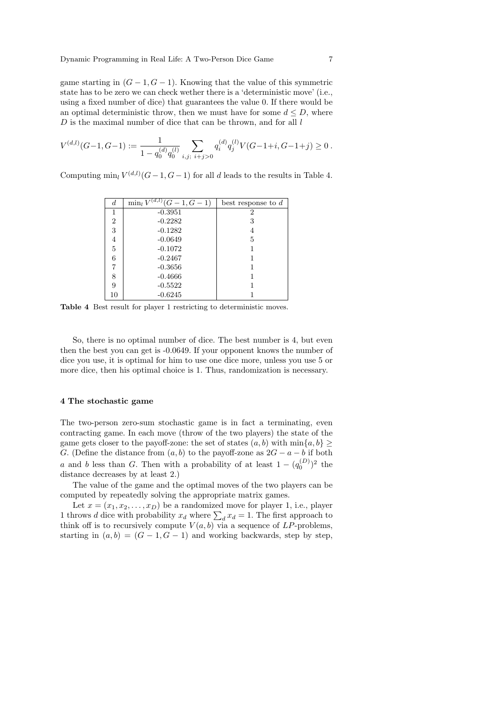game starting in  $(G-1, G-1)$ . Knowing that the value of this symmetric state has to be zero we can check wether there is a 'deterministic move' (i.e., using a fixed number of dice) that guarantees the value 0. If there would be an optimal deterministic throw, then we must have for some  $d \leq D$ , where  $D$  is the maximal number of dice that can be thrown, and for all  $l$ 

$$
V^{(d,l)}(G-1, G-1) := \frac{1}{1 - q_0^{(d)}q_0^{(l)}} \sum_{i,j; \ i+j>0} q_i^{(d)} q_j^{(l)} V(G-1+i, G-1+j) \ge 0.
$$

Computing  $\min_l V^{(d,l)}(G-1, G-1)$  for all d leads to the results in Table 4.

| $\boldsymbol{d}$ | $\min_l V$ | best response to $d$     |
|------------------|------------|--------------------------|
| 1                | $-0.3951$  | 2                        |
| $\overline{2}$   | $-0.2282$  | 3                        |
| 3                | $-0.1282$  |                          |
| 4                | $-0.0649$  | 5                        |
| $\overline{5}$   | $-0.1072$  |                          |
| 6                | $-0.2467$  |                          |
| 7                | $-0.3656$  |                          |
| 8                | $-0.4666$  |                          |
| 9                | $-0.5522$  |                          |
| 10               | $-0.6245$  |                          |
|                  |            | $\sqrt{(d,l)}(G-1, G-1)$ |

Table 4 Best result for player 1 restricting to deterministic moves.

So, there is no optimal number of dice. The best number is 4, but even then the best you can get is -0.0649. If your opponent knows the number of dice you use, it is optimal for him to use one dice more, unless you use 5 or more dice, then his optimal choice is 1. Thus, randomization is necessary.

## 4 The stochastic game

The two-person zero-sum stochastic game is in fact a terminating, even contracting game. In each move (throw of the two players) the state of the game gets closer to the payoff-zone: the set of states  $(a, b)$  with  $\min\{a, b\} \ge$ G. (Define the distance from  $(a, b)$  to the payoff-zone as  $2G - a - b$  if both a and b less than G. Then with a probability of at least  $1 - (q_0^{(D)})^2$  the distance decreases by at least 2.)

The value of the game and the optimal moves of the two players can be computed by repeatedly solving the appropriate matrix games.

Let  $x = (x_1, x_2, \ldots, x_D)$  be a randomized move for player 1, i.e., player 1 throws *d* dice with probability  $x_d$  where  $\sum_d x_d = 1$ . The first approach to think off is to recursively compute  $V(a, b)$  via a sequence of LP-problems, starting in  $(a, b) = (G - 1, G - 1)$  and working backwards, step by step,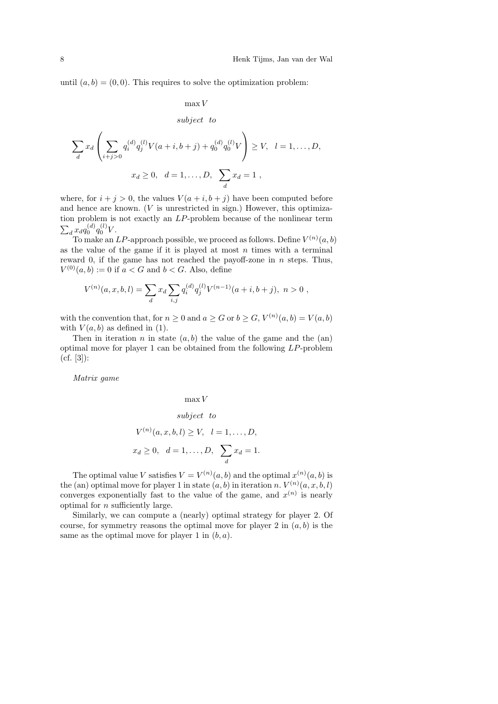until  $(a, b) = (0, 0)$ . This requires to solve the optimization problem:

$$
\max V
$$

subject to

$$
\sum_{d} x_d \left( \sum_{i+j>0} q_i^{(d)} q_j^{(l)} V(a+i, b+j) + q_0^{(d)} q_0^{(l)} V \right) \ge V, \quad l = 1, ..., D,
$$
  

$$
x_d \ge 0, \quad d = 1, ..., D, \quad \sum_{d} x_d = 1,
$$

where, for  $i + j > 0$ , the values  $V(a + i, b + j)$  have been computed before and hence are known.  $(V$  is unrestricted in sign.) However, this optimization problem is not exactly an LP-problem because of the nonlinear term  $\sum_{d} x_{d} q_{0}^{(d)} q_{0}^{(l)} V.$ 

To make an LP-approach possible, we proceed as follows. Define  $V^{(n)}(a, b)$ as the value of the game if it is played at most  $n$  times with a terminal reward 0, if the game has not reached the payoff-zone in  $n$  steps. Thus,  $V^{(0)}(a, b) := 0$  if  $a < G$  and  $b < G$ . Also, define

$$
V^{(n)}(a,x,b,l) = \sum_{d} x_d \sum_{i,j} q_i^{(d)} q_j^{(l)} V^{(n-1)}(a+i,b+j), \ n > 0 ,
$$

with the convention that, for  $n \geq 0$  and  $a \geq G$  or  $b \geq G$ ,  $V^{(n)}(a, b) = V(a, b)$ with  $V(a, b)$  as defined in (1).

Then in iteration n in state  $(a, b)$  the value of the game and the  $(an)$ optimal move for player 1 can be obtained from the following LP-problem  $(cf. [3])$ :

Matrix game

## max V

$$
subject\ \ to
$$

$$
V^{(n)}(a, x, b, l) \ge V, \quad l = 1, ..., D,
$$
  

$$
x_d \ge 0, \quad d = 1, ..., D, \sum_d x_d = 1.
$$

The optimal value V satisfies  $V = V^{(n)}(a, b)$  and the optimal  $x^{(n)}(a, b)$  is the (an) optimal move for player 1 in state  $(a, b)$  in iteration n.  $V^{(n)}(a, x, b, l)$ converges exponentially fast to the value of the game, and  $x^{(n)}$  is nearly optimal for  $n$  sufficiently large.

Similarly, we can compute a (nearly) optimal strategy for player 2. Of course, for symmetry reasons the optimal move for player 2 in  $(a, b)$  is the same as the optimal move for player 1 in  $(b, a)$ .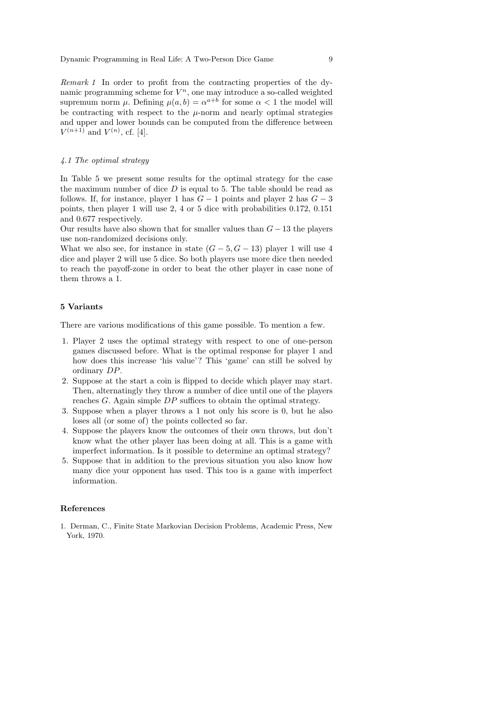Remark 1 In order to profit from the contracting properties of the dynamic programming scheme for  $V^n$ , one may introduce a so-called weighted supremum norm  $\mu$ . Defining  $\mu(a, b) = \alpha^{a+b}$  for some  $\alpha < 1$  the model will be contracting with respect to the  $\mu$ -norm and nearly optimal strategies and upper and lower bounds can be computed from the difference between  $V^{(n+1)}$  and  $V^{(n)}$ , cf. [4].

## 4.1 The optimal strategy

In Table 5 we present some results for the optimal strategy for the case the maximum number of dice  $D$  is equal to 5. The table should be read as follows. If, for instance, player 1 has  $G-1$  points and player 2 has  $G-3$ points, then player 1 will use 2, 4 or 5 dice with probabilities 0.172, 0.151 and 0.677 respectively.

Our results have also shown that for smaller values than  $G - 13$  the players use non-randomized decisions only.

What we also see, for instance in state  $(G - 5, G - 13)$  player 1 will use 4 dice and player 2 will use 5 dice. So both players use more dice then needed to reach the payoff-zone in order to beat the other player in case none of them throws a 1.

## 5 Variants

There are various modifications of this game possible. To mention a few.

- 1. Player 2 uses the optimal strategy with respect to one of one-person games discussed before. What is the optimal response for player 1 and how does this increase 'his value'? This 'game' can still be solved by ordinary DP.
- 2. Suppose at the start a coin is flipped to decide which player may start. Then, alternatingly they throw a number of dice until one of the players reaches G. Again simple  $DP$  suffices to obtain the optimal strategy.
- 3. Suppose when a player throws a 1 not only his score is 0, but he also loses all (or some of) the points collected so far.
- 4. Suppose the players know the outcomes of their own throws, but don't know what the other player has been doing at all. This is a game with imperfect information. Is it possible to determine an optimal strategy?
- 5. Suppose that in addition to the previous situation you also know how many dice your opponent has used. This too is a game with imperfect information.

#### References

1. Derman, C., Finite State Markovian Decision Problems, Academic Press, New York, 1970.